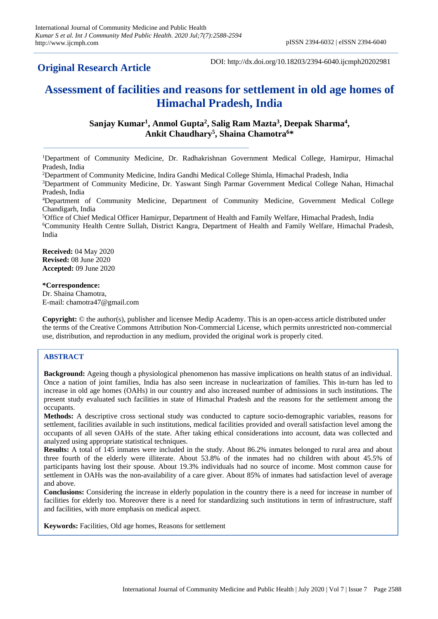# **Original Research Article**

DOI: http://dx.doi.org/10.18203/2394-6040.ijcmph20202981

# **Assessment of facilities and reasons for settlement in old age homes of Himachal Pradesh, India**

**Sanjay Kumar<sup>1</sup> , Anmol Gupta<sup>2</sup> , Salig Ram Mazta<sup>3</sup> , Deepak Sharma<sup>4</sup> , Ankit Chaudhary<sup>5</sup> , Shaina Chamotra<sup>6</sup>\***

<sup>1</sup>Department of Community Medicine, Dr. Radhakrishnan Government Medical College, Hamirpur, Himachal Pradesh, India

<sup>2</sup>Department of Community Medicine, Indira Gandhi Medical College Shimla, Himachal Pradesh, India

<sup>3</sup>Department of Community Medicine, Dr. Yaswant Singh Parmar Government Medical College Nahan, Himachal Pradesh, India

<sup>4</sup>Department of Community Medicine, Department of Community Medicine, Government Medical College Chandigarh, India

<sup>5</sup>Office of Chief Medical Officer Hamirpur, Department of Health and Family Welfare, Himachal Pradesh, India <sup>6</sup>Community Health Centre Sullah, District Kangra, Department of Health and Family Welfare, Himachal Pradesh, India

**Received:** 04 May 2020 **Revised:** 08 June 2020 **Accepted:** 09 June 2020

### **\*Correspondence:**

Dr. Shaina Chamotra, E-mail: chamotra47@gmail.com

**Copyright:** © the author(s), publisher and licensee Medip Academy. This is an open-access article distributed under the terms of the Creative Commons Attribution Non-Commercial License, which permits unrestricted non-commercial use, distribution, and reproduction in any medium, provided the original work is properly cited.

# **ABSTRACT**

**Background:** Ageing though a physiological phenomenon has massive implications on health status of an individual. Once a nation of joint families, India has also seen increase in nuclearization of families. This in-turn has led to increase in old age homes (OAHs) in our country and also increased number of admissions in such institutions. The present study evaluated such facilities in state of Himachal Pradesh and the reasons for the settlement among the occupants.

**Methods:** A descriptive cross sectional study was conducted to capture socio-demographic variables, reasons for settlement, facilities available in such institutions, medical facilities provided and overall satisfaction level among the occupants of all seven OAHs of the state. After taking ethical considerations into account, data was collected and analyzed using appropriate statistical techniques.

**Results:** A total of 145 inmates were included in the study. About 86.2% inmates belonged to rural area and about three fourth of the elderly were illiterate. About 53.8% of the inmates had no children with about 45.5% of participants having lost their spouse. About 19.3% individuals had no source of income. Most common cause for settlement in OAHs was the non-availability of a care giver. About 85% of inmates had satisfaction level of average and above.

**Conclusions:** Considering the increase in elderly population in the country there is a need for increase in number of facilities for elderly too. Moreover there is a need for standardizing such institutions in term of infrastructure, staff and facilities, with more emphasis on medical aspect.

**Keywords:** Facilities, Old age homes, Reasons for settlement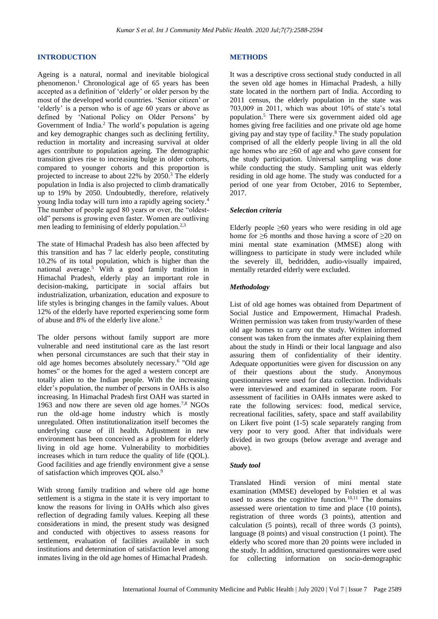#### **INTRODUCTION**

Ageing is a natural, normal and inevitable biological phenomenon.<sup>1</sup> Chronological age of 65 years has been accepted as a definition of 'elderly' or older person by the most of the developed world countries. 'Senior citizen' or 'elderly' is a person who is of age 60 years or above as defined by 'National Policy on Older Persons' by Government of India.<sup>2</sup> The world's population is ageing and key demographic changes such as declining fertility, reduction in mortality and increasing survival at older ages contribute to population ageing. The demographic transition gives rise to increasing bulge in older cohorts, compared to younger cohorts and this proportion is projected to increase to about 22% by 2050.<sup>3</sup> The elderly population in India is also projected to climb dramatically up to 19% by 2050. Undoubtedly, therefore, relatively young India today will turn into a rapidly ageing society.<sup>4</sup> The number of people aged 80 years or over, the "oldestold" persons is growing even faster. Women are outliving men leading to feminising of elderly population.<sup>2,3</sup>

The state of Himachal Pradesh has also been affected by this transition and has 7 lac elderly people, constituting 10.2% of its total population, which is higher than the national average.<sup>5</sup> With a good family tradition in Himachal Pradesh, elderly play an important role in decision-making, participate in social affairs but industrialization, urbanization, education and exposure to life styles is bringing changes in the family values. About 12% of the elderly have reported experiencing some form of abuse and 8% of the elderly live alone.<sup>5</sup>

The older persons without family support are more vulnerable and need institutional care as the last resort when personal circumstances are such that their stay in old age homes becomes absolutely necessary.<sup>6</sup> "Old age homes" or the homes for the aged a western concept are totally alien to the Indian people. With the increasing elder's population, the number of persons in OAHs is also increasing. In Himachal Pradesh first OAH was started in 1963 and now there are seven old age homes.<sup>7,8</sup> NGOs run the old-age home industry which is mostly unregulated. Often institutionalization itself becomes the underlying cause of ill health. Adjustment in new environment has been conceived as a problem for elderly living in old age home. Vulnerability to morbidities increases which in turn reduce the quality of life (QOL). Good facilities and age friendly environment give a sense of satisfaction which improves QOL also.<sup>9</sup>

With strong family tradition and where old age home settlement is a stigma in the state it is very important to know the reasons for living in OAHs which also gives reflection of degrading family values. Keeping all these considerations in mind, the present study was designed and conducted with objectives to assess reasons for settlement, evaluation of facilities available in such institutions and determination of satisfaction level among inmates living in the old age homes of Himachal Pradesh.

#### **METHODS**

It was a descriptive cross sectional study conducted in all the seven old age homes in Himachal Pradesh, a hilly state located in the northern part of India. According to 2011 census, the elderly population in the state was 703,009 in 2011, which was about 10% of state's total population.<sup>5</sup> There were six government aided old age homes giving free facilities and one private old age home giving pay and stay type of facility.<sup>8</sup> The study population comprised of all the elderly people living in all the old age homes who are ≥60 of age and who gave consent for the study participation. Universal sampling was done while conducting the study. Sampling unit was elderly residing in old age home. The study was conducted for a period of one year from October, 2016 to September, 2017.

#### *Selection criteria*

Elderly people  $\geq 60$  years who were residing in old age home for  $\geq 6$  months and those having a score of  $\geq 20$  on mini mental state examination (MMSE) along with willingness to participate in study were included while the severely ill, bedridden, audio-visually impaired, mentally retarded elderly were excluded.

#### *Methodology*

List of old age homes was obtained from Department of Social Justice and Empowerment, Himachal Pradesh. Written permission was taken from trusty/warden of these old age homes to carry out the study. Written informed consent was taken from the inmates after explaining them about the study in Hindi or their local language and also assuring them of confidentiality of their identity. Adequate opportunities were given for discussion on any of their questions about the study. Anonymous questionnaires were used for data collection. Individuals were interviewed and examined in separate room. For assessment of facilities in OAHs inmates were asked to rate the following services: food, medical service, recreational facilities, safety, space and staff availability on Likert five point (1-5) scale separately ranging from very poor to very good. After that individuals were divided in two groups (below average and average and above).

#### *Study tool*

Translated Hindi version of mini mental state examination (MMSE) developed by Folstien et al was used to assess the cognitive function.<sup>10,11</sup> The domains assessed were orientation to time and place (10 points), registration of three words (3 points), attention and calculation (5 points), recall of three words (3 points), language (8 points) and visual construction (1 point). The elderly who scored more than 20 points were included in the study. In addition, structured questionnaires were used for collecting information on socio-demographic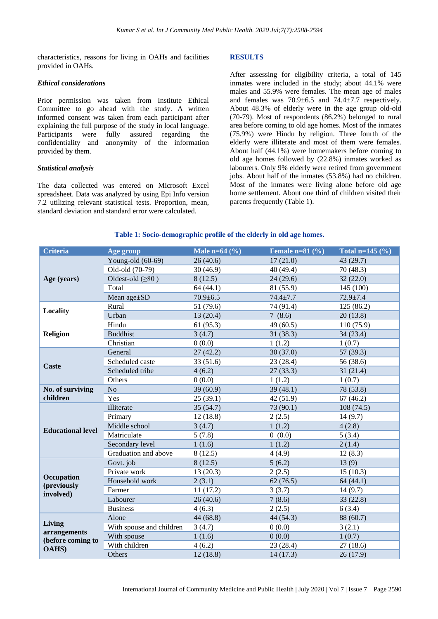characteristics, reasons for living in OAHs and facilities provided in OAHs.

#### *Ethical considerations*

Prior permission was taken from Institute Ethical Committee to go ahead with the study. A written informed consent was taken from each participant after explaining the full purpose of the study in local language. Participants were fully assured regarding the confidentiality and anonymity of the information provided by them.

#### *Statistical analysis*

The data collected was entered on Microsoft Excel spreadsheet. Data was analyzed by using Epi Info version 7.2 utilizing relevant statistical tests. Proportion, mean, standard deviation and standard error were calculated.

#### **RESULTS**

After assessing for eligibility criteria, a total of 145 inmates were included in the study; about 44.1% were males and 55.9% were females. The mean age of males and females was 70.9±6.5 and 74.4±7.7 respectively. About 48.3% of elderly were in the age group old-old (70-79). Most of respondents (86.2%) belonged to rural area before coming to old age homes. Most of the inmates (75.9%) were Hindu by religion. Three fourth of the elderly were illiterate and most of them were females. About half (44.1%) were homemakers before coming to old age homes followed by (22.8%) inmates worked as labourers. Only 9% elderly were retired from government jobs. About half of the inmates (53.8%) had no children. Most of the inmates were living alone before old age home settlement. About one third of children visited their parents frequently (Table 1).

#### **Table 1: Socio-demographic profile of the elderly in old age homes.**

| <b>Criteria</b><br>Male n= $64$ (%)<br>Female $n=81$ (%)<br>Age group | Total n=145 $(\% )$ |
|-----------------------------------------------------------------------|---------------------|
| Young-old (60-69)<br>17(21.0)<br>26(40.6)                             | 43 (29.7)           |
| Old-old (70-79)<br>40 (49.4)<br>30(46.9)                              | 70(48.3)            |
| Oldest-old $(≥80)$<br>24(29.6)<br>Age (years)<br>8(12.5)              | 32(22.0)            |
| Total<br>64(44.1)<br>81 (55.9)                                        | 145 (100)           |
| Mean age±SD<br>$70.9 \pm 6.5$<br>$74.4 + 7.7$                         | $72.9 \pm 7.4$      |
| Rural<br>51 (79.6)<br>74 (91.4)                                       | 125(86.2)           |
| Locality<br>Urban<br>13(20.4)<br>7(8.6)                               | 20(13.8)            |
| Hindu<br>49(60.5)<br>61(95.3)                                         | 110(75.9)           |
| <b>Buddhist</b><br><b>Religion</b><br>3(4.7)<br>31(38.3)              | 34(23.4)            |
| Christian<br>0(0.0)<br>1(1.2)                                         | 1(0.7)              |
| General<br>27(42.2)<br>30(37.0)                                       | 57 (39.3)           |
| Scheduled caste<br>33(51.6)<br>23 (28.4)                              | 56 (38.6)           |
| <b>Caste</b><br>Scheduled tribe<br>4(6.2)<br>27(33.3)                 | 31(21.4)            |
| Others<br>0(0.0)<br>1(1.2)                                            | 1(0.7)              |
| No<br>39(60.9)<br>39(48.1)<br>No. of surviving                        | 78 (53.8)           |
| children<br>Yes<br>25(39.1)<br>42 (51.9)                              | 67(46.2)            |
| Illiterate<br>73 (90.1)<br>35(54.7)                                   | 108(74.5)           |
| 12(18.8)<br>2(2.5)<br>Primary                                         | 14(9.7)             |
| Middle school<br>1(1.2)<br>3(4.7)<br><b>Educational level</b>         | 4(2.8)              |
| Matriculate<br>0(0.0)<br>5(7.8)                                       | 5(3.4)              |
| Secondary level<br>1(1.6)<br>1(1.2)                                   | 2(1.4)              |
| Graduation and above<br>8(12.5)<br>4(4.9)                             | 12(8.3)             |
| Govt. job<br>8(12.5)<br>13(9)<br>5(6.2)                               |                     |
| Private work<br>13(20.3)<br>2(2.5)                                    | 15(10.3)            |
| Occupation<br>Household work<br>2(3.1)<br>62(76.5)<br>(previously     | 64(44.1)            |
| Farmer<br>11(17.2)<br>3(3.7)<br>involved)                             | 14(9.7)             |
| Labourer<br>26(40.6)<br>7(8.6)                                        | 33(22.8)            |
| <b>Business</b><br>4(6.3)<br>2(2.5)                                   | 6(3.4)              |
| Alone<br>44(68.8)<br>44 (54.3)                                        | 88 (60.7)           |
| Living<br>With spouse and children<br>0(0.0)<br>3(4.7)                | 3(2.1)              |
| arrangements<br>1(1.6)<br>0(0.0)<br>With spouse<br>(before coming to  | 1(0.7)              |
| With children<br>4(6.2)<br>23 (28.4)<br><b>OAHS</b> )                 | 27(18.6)            |
| Others<br>12(18.8)<br>14(17.3)                                        | 26(17.9)            |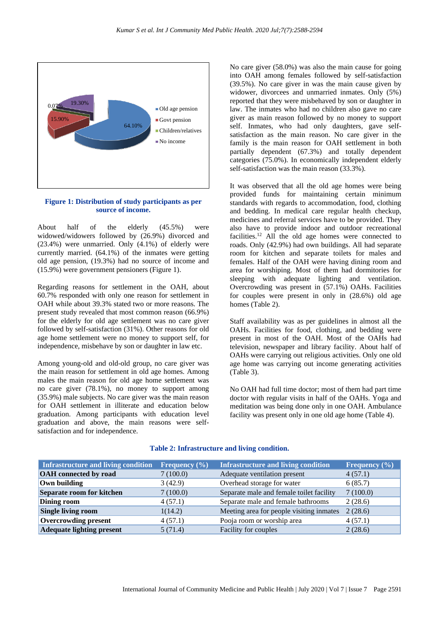

**Figure 1: Distribution of study participants as per source of income.**

About half of the elderly (45.5%) were widowed/widowers followed by (26.9%) divorced and (23.4%) were unmarried. Only (4.1%) of elderly were currently married. (64.1%) of the inmates were getting old age pension, (19.3%) had no source of income and (15.9%) were government pensioners (Figure 1).

Regarding reasons for settlement in the OAH, about 60.7% responded with only one reason for settlement in OAH while about 39.3% stated two or more reasons. The present study revealed that most common reason (66.9%) for the elderly for old age settlement was no care giver followed by self-satisfaction (31%). Other reasons for old age home settlement were no money to support self, for independence, misbehave by son or daughter in law etc.

Among young-old and old-old group, no care giver was the main reason for settlement in old age homes. Among males the main reason for old age home settlement was no care giver (78.1%), no money to support among (35.9%) male subjects. No care giver was the main reason for OAH settlement in illiterate and education below graduation. Among participants with education level graduation and above, the main reasons were selfsatisfaction and for independence.

No care giver (58.0%) was also the main cause for going into OAH among females followed by self-satisfaction (39.5%). No care giver in was the main cause given by widower, divorcees and unmarried inmates. Only (5%) reported that they were misbehaved by son or daughter in law. The inmates who had no children also gave no care giver as main reason followed by no money to support self. Inmates, who had only daughters, gave selfsatisfaction as the main reason. No care giver in the family is the main reason for OAH settlement in both partially dependent (67.3%) and totally dependent categories (75.0%). In economically independent elderly self-satisfaction was the main reason (33.3%).

It was observed that all the old age homes were being provided funds for maintaining certain minimum standards with regards to accommodation, food, clothing and bedding. In medical care regular health checkup, medicines and referral services have to be provided. They also have to provide indoor and outdoor recreational facilities.<sup>12</sup> All the old age homes were connected to roads. Only (42.9%) had own buildings. All had separate room for kitchen and separate toilets for males and females. Half of the OAH were having dining room and area for worshiping. Most of them had dormitories for sleeping with adequate lighting and ventilation. Overcrowding was present in (57.1%) OAHs. Facilities for couples were present in only in (28.6%) old age homes (Table 2).

Staff availability was as per guidelines in almost all the OAHs. Facilities for food, clothing, and bedding were present in most of the OAH. Most of the OAHs had television, newspaper and library facility. About half of OAHs were carrying out religious activities. Only one old age home was carrying out income generating activities (Table 3).

No OAH had full time doctor; most of them had part time doctor with regular visits in half of the OAHs. Yoga and meditation was being done only in one OAH. Ambulance facility was present only in one old age home (Table 4).

| Infrastructure and living condition | Frequency $(\% )$ | <b>Infrastructure and living condition</b> | Frequency $(\% )$ |
|-------------------------------------|-------------------|--------------------------------------------|-------------------|
| <b>OAH</b> connected by road        | 7(100.0)          | Adequate ventilation present               | 4(57.1)           |
| Own building                        | 3(42.9)           | Overhead storage for water                 | 6(85.7)           |
| Separate room for kitchen           | 7(100.0)          | Separate male and female toilet facility   | 7(100.0)          |
| <b>Dining room</b>                  | 4(57.1)           | Separate male and female bathrooms         | 2(28.6)           |
| <b>Single living room</b>           | 1(14.2)           | Meeting area for people visiting inmates   | 2(28.6)           |
| <b>Overcrowding present</b>         | 4(57.1)           | Pooja room or worship area                 | 4(57.1)           |
| <b>Adequate lighting present</b>    | 5(71.4)           | Facility for couples                       | 2(28.6)           |

#### **Table 2: Infrastructure and living condition.**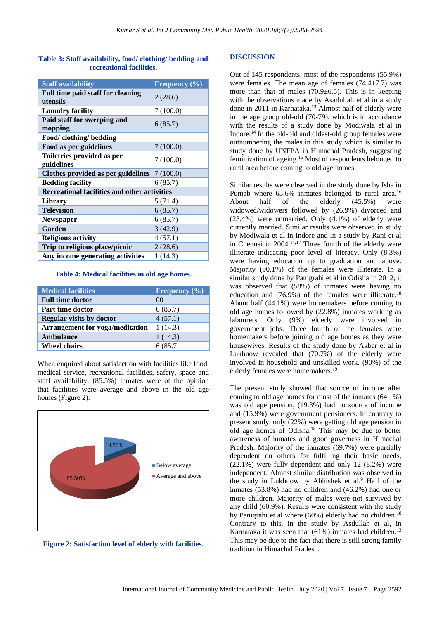## **Table 3: Staff availability, food/ clothing/ bedding and recreational facilities.**

| <b>Staff availability</b>                     | Frequency (%) |  |  |
|-----------------------------------------------|---------------|--|--|
| Full time paid staff for cleaning<br>utensils | 2(28.6)       |  |  |
| <b>Laundry facility</b>                       | 7(100.0)      |  |  |
| Paid staff for sweeping and<br>mopping        | 6(85.7)       |  |  |
| Food/ clothing/ bedding                       |               |  |  |
| Food as per guidelines                        | 7(100.0)      |  |  |
| Toiletries provided as per<br>guidelines      | 7(100.0)      |  |  |
| Clothes provided as per guidelines $7(100.0)$ |               |  |  |
| <b>Bedding facility</b>                       | 6(85.7)       |  |  |
| Recreational facilities and other activities  |               |  |  |
| Library                                       | 5 (71.4)      |  |  |
| <b>Television</b>                             | 6(85.7)       |  |  |
| <b>Newspaper</b>                              | 6(85.7)       |  |  |
| Garden                                        | 3(42.9)       |  |  |
| <b>Religious activity</b>                     | 4(57.1)       |  |  |
| Trip to religious place/picnic                | 2(28.6)       |  |  |
| Any income generating activities              | 1(14.3)       |  |  |

#### **Table 4: Medical facilities in old age homes.**

| <b>Medical facilities</b>              | Frequency $(\% )$ |
|----------------------------------------|-------------------|
| <b>Full time doctor</b>                | $($ $($ $)$       |
| Part time doctor                       | 6(85.7)           |
| <b>Regular visits by doctor</b>        | 4(57.1)           |
| <b>Arrangement for yoga/meditation</b> | 1(14.3)           |
| <b>Ambulance</b>                       | 1(14.3)           |
| <b>Wheel chairs</b>                    | 6 (85.7)          |

When enquired about satisfaction with facilities like food, medical service, recreational facilities, safety, space and staff availability, (85.5%) inmates were of the opinion that facilities were average and above in the old age homes (Figure 2).



**Figure 2: Satisfaction level of elderly with facilities.**

#### **DISCUSSION**

Out of 145 respondents, most of the respondents (55.9%) were females. The mean age of females  $(74.4 \pm 7.7)$  was more than that of males  $(70.9 \pm 6.5)$ . This is in keeping with the observations made by Asadullah et al in a study done in 2011 in Karnataka.<sup>13</sup> Almost half of elderly were in the age group old-old (70-79), which is in accordance with the results of a study done by Modiwala et al in Indore.<sup>14</sup> In the old-old and oldest-old group females were outnumbering the males in this study which is similar to study done by UNFPA in Himachal Pradesh, suggesting feminization of ageing.<sup>15</sup> Most of respondents belonged to rural area before coming to old age homes.

Similar results were observed in the study done by Isha in Punjab where 65.6% inmates belonged to rural area.<sup>16</sup> About half of the elderly (45.5%) were widowed/widowers followed by (26.9%) divorced and (23.4%) were unmarried. Only (4.1%) of elderly were currently married. Similar results were observed in study by Modiwala et al in Indore and in a study by Rani et al in Chennai in  $2004$ <sup>14,17</sup> Three fourth of the elderly were illiterate indicating poor level of literacy. Only (8.3%) were having education up to graduation and above. Majority (90.1%) of the females were illiterate. In a similar study done by Panigrahi et al in Odisha in 2012, it was observed that (58%) of inmates were having no education and  $(76.9\%)$  of the females were illiterate.<sup>18</sup> About half (44.1%) were homemakers before coming to old age homes followed by (22.8%) inmates working as labourers. Only (9%) elderly were involved in government jobs. Three fourth of the females were homemakers before joining old age homes as they were housewives. Results of the study done by Akbar et al in Lukhnow revealed that (70.7%) of the elderly were involved in household and unskilled work. (90%) of the elderly females were homemakers.<sup>19</sup>

The present study showed that source of income after coming to old age homes for most of the inmates (64.1%) was old age pension, (19.3%) had no source of income and (15.9%) were government pensioners. In contrary to present study, only (22%) were getting old age pension in old age homes of Odisha.<sup>18</sup> This may be due to better awareness of inmates and good governess in Himachal Pradesh. Majority of the inmates (69.7%) were partially dependent on others for fulfilling their basic needs, (22.1%) were fully dependent and only 12 (8.2%) were independent. Almost similar distribution was observed in the study in Lukhnow by Abhishek et al.<sup>9</sup> Half of the inmates (53.8%) had no children and (46.2%) had one or more children. Majority of males were not survived by any child (60.9%). Results were consistent with the study by Panigrahi et al where  $(60\%)$  elderly had no children.<sup>18</sup> Contrary to this, in the study by Asdullah et al, in Karnataka it was seen that (61%) inmates had children.<sup>13</sup> This may be due to the fact that there is still strong family tradition in Himachal Pradesh.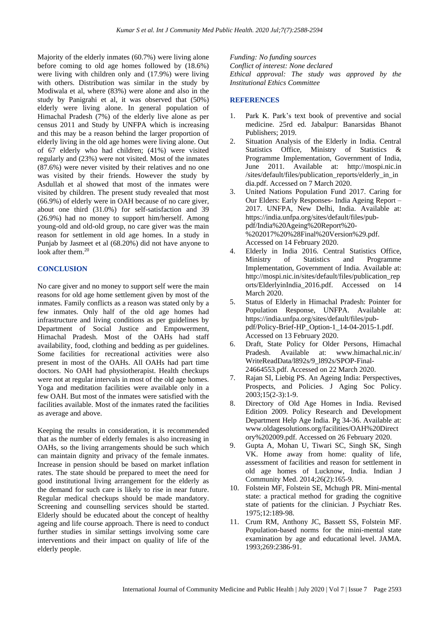Majority of the elderly inmates (60.7%) were living alone before coming to old age homes followed by (18.6%) were living with children only and (17.9%) were living with others. Distribution was similar in the study by Modiwala et al, where (83%) were alone and also in the study by Panigrahi et al, it was observed that (50%) elderly were living alone. In general population of Himachal Pradesh (7%) of the elderly live alone as per census 2011 and Study by UNFPA which is increasing and this may be a reason behind the larger proportion of elderly living in the old age homes were living alone. Out of 67 elderly who had children; (41%) were visited regularly and (23%) were not visited. Most of the inmates (87.6%) were never visited by their relatives and no one was visited by their friends. However the study by Asdullah et al showed that most of the inmates were visited by children. The present study revealed that most (66.9%) of elderly were in OAH because of no care giver, about one third (31.0%) for self-satisfaction and 39 (26.9%) had no money to support him/herself. Among young-old and old-old group, no care giver was the main reason for settlement in old age homes. In a study in Punjab by Jasmeet et al (68.20%) did not have anyone to look after them.<sup>20</sup>

#### **CONCLUSION**

No care giver and no money to support self were the main reasons for old age home settlement given by most of the inmates. Family conflicts as a reason was stated only by a few inmates. Only half of the old age homes had infrastructure and living conditions as per guidelines by Department of Social Justice and Empowerment, Himachal Pradesh. Most of the OAHs had staff availability, food, clothing and bedding as per guidelines. Some facilities for recreational activities were also present in most of the OAHs. All OAHs had part time doctors. No OAH had physiotherapist. Health checkups were not at regular intervals in most of the old age homes. Yoga and meditation facilities were available only in a few OAH. But most of the inmates were satisfied with the facilities available. Most of the inmates rated the facilities as average and above.

Keeping the results in consideration, it is recommended that as the number of elderly females is also increasing in OAHs, so the living arrangements should be such which can maintain dignity and privacy of the female inmates. Increase in pension should be based on market inflation rates. The state should be prepared to meet the need for good institutional living arrangement for the elderly as the demand for such care is likely to rise in near future. Regular medical checkups should be made mandatory. Screening and counselling services should be started. Elderly should be educated about the concept of healthy ageing and life course approach. There is need to conduct further studies in similar settings involving some care interventions and their impact on quality of life of the elderly people.

*Funding: No funding sources Conflict of interest: None declared Ethical approval: The study was approved by the Institutional Ethics Committee*

# **REFERENCES**

- 1. Park K. Park's text book of preventive and social medicine. 25rd ed. Jabalpur: Banarsidas Bhanot Publishers; 2019.
- 2. Situation Analysis of the Elderly in India. Central Statistics Office, Ministry of Statistics & Programme Implementation, Government of India, June 2011. Available at: http://mospi.nic.in /sites/default/files/publication\_reports/elderly\_in\_in dia.pdf. Accessed on 7 March 2020.
- 3. United Nations Population Fund 2017. Caring for Our Elders: Early Responses- India Ageing Report – 2017. UNFPA, New Delhi, India. Available at: https://india.unfpa.org/sites/default/files/pubpdf/India%20Ageing%20Report%20- %202017%20%28Final%20Version%29.pdf. Accessed on 14 February 2020.
- 4. Elderly in India 2016. Central Statistics Office, Ministry of Statistics and Programme Implementation, Government of India. Available at: http://mospi.nic.in/sites/default/files/publication\_rep orts/ElderlyinIndia\_2016.pdf. Accessed on 14 March 2020.
- 5. Status of Elderly in Himachal Pradesh: Pointer for Population Response, UNFPA. Available at: https://india.unfpa.org/sites/default/files/pubpdf/Policy-Brief-HP\_Option-1\_14-04-2015-1.pdf. Accessed on 13 February 2020.
- 6. Draft, State Policy for Older Persons, Himachal Pradesh. Available at: www.himachal.nic.in/ WriteReadData/l892s/9\_l892s/SPOP-Final-24664553.pdf. Accessed on 22 March 2020.
- 7. Rajan SI, Liebig PS. An Ageing India: Perspectives, Prospects, and Policies. J Aging Soc Policy. 2003;15(2-3):1-9.
- 8. Directory of Old Age Homes in India. Revised Edition 2009. Policy Research and Development Department Help Age India. Pg 34-36. Available at: www.oldagesolutions.org/facilities/OAH%20Direct ory%202009.pdf. Accessed on 26 February 2020.
- 9. Gupta A, Mohan U, Tiwari SC, Singh SK, Singh VK. Home away from home: quality of life, assessment of facilities and reason for settlement in old age homes of Lucknow, India. Indian J Community Med. 2014;26(2):165-9.
- 10. Folstein MF, Folstein SE, Mchugh PR. Mini-mental state: a practical method for grading the cognitive state of patients for the clinician. J Psychiatr Res. 1975;12:189-98.
- 11. Crum RM, Anthony JC, Bassett SS, Folstein MF. Population-based norms for the mini-mental state examination by age and educational level. JAMA. 1993;269:2386-91.